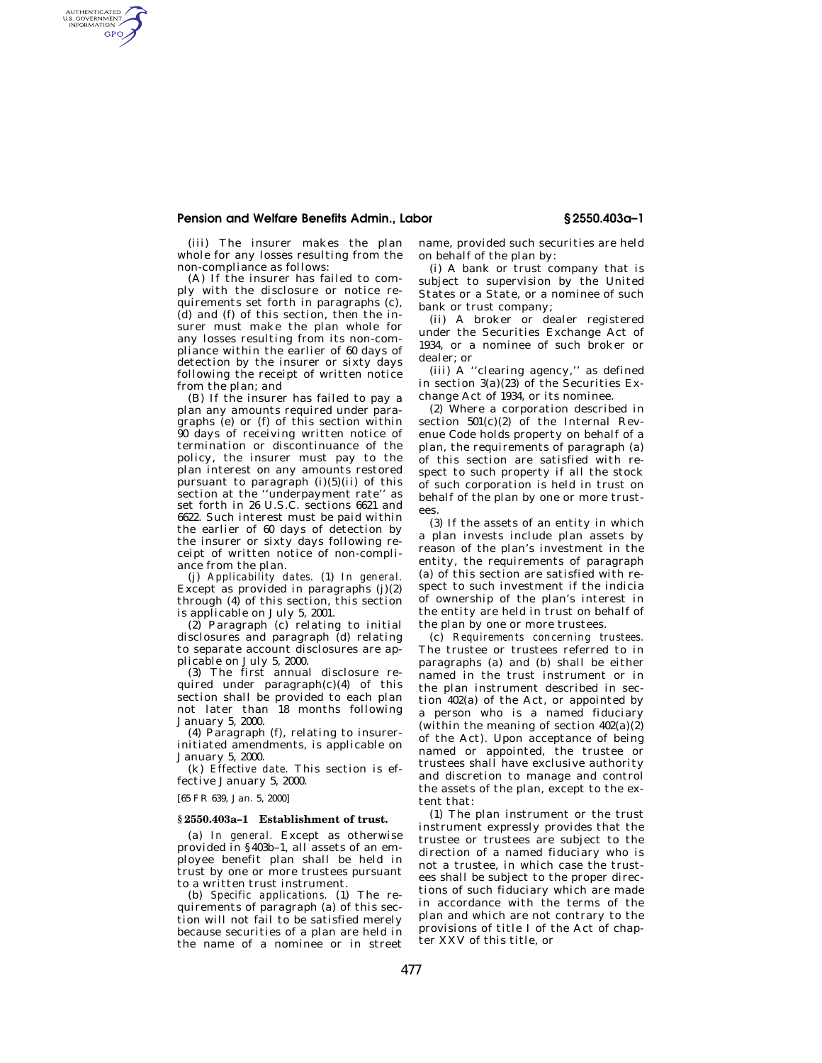# **Pension and Welfare Benefits Admin., Labor § 2550.403a–1**

(iii) The insurer makes the plan whole for any losses resulting from the non-compliance as follows:

AUTHENTICATED<br>U.S. GOVERNMENT<br>INFORMATION GPO

> (A) If the insurer has failed to comply with the disclosure or notice requirements set forth in paragraphs (c), (d) and (f) of this section, then the insurer must make the plan whole for any losses resulting from its non-compliance within the earlier of 60 days of detection by the insurer or sixty days following the receipt of written notice from the plan; and

> (B) If the insurer has failed to pay a plan any amounts required under paragraphs (e) or (f) of this section within 90 days of receiving written notice of termination or discontinuance of the policy, the insurer must pay to the plan interest on any amounts restored pursuant to paragraph  $(i)(5)(ii)$  of this section at the ''underpayment rate'' as set forth in 26 U.S.C. sections 6621 and 6622. Such interest must be paid within the earlier of 60 days of detection by the insurer or sixty days following receipt of written notice of non-compliance from the plan.

> (j) *Applicability dates.* (1) *In general.* Except as provided in paragraphs (j)(2) through (4) of this section, this section is applicable on July 5, 2001.

> (2) Paragraph (c) relating to initial disclosures and paragraph (d) relating to separate account disclosures are applicable on July 5, 2000.

> (3) The first annual disclosure required under paragraph(c)(4) of this section shall be provided to each plan not later than 18 months following January 5, 2000.

 $(4)$  Paragraph  $(f)$ , relating to insurerinitiated amendments, is applicable on January 5, 2000.

(k) *Effective date.* This section is effective January 5, 2000.

[65 FR 639, Jan. 5, 2000]

# **§ 2550.403a–1 Establishment of trust.**

(a) *In general.* Except as otherwise provided in §403b–1, all assets of an employee benefit plan shall be held in trust by one or more trustees pursuant to a written trust instrument.

(b) *Specific applications.* (1) The requirements of paragraph (a) of this section will not fail to be satisfied merely because securities of a plan are held in the name of a nominee or in street name, provided such securities are held on behalf of the plan by:

(i) A bank or trust company that is subject to supervision by the United States or a State, or a nominee of such bank or trust company;

(ii) A broker or dealer registered under the Securities Exchange Act of 1934, or a nominee of such broker or dealer; or

(iii) A ''clearing agency,'' as defined in section 3(a)(23) of the Securities Exchange Act of 1934, or its nominee.

(2) Where a corporation described in section 501(c)(2) of the Internal Revenue Code holds property on behalf of a plan, the requirements of paragraph (a) of this section are satisfied with respect to such property if all the stock of such corporation is held in trust on behalf of the plan by one or more trustees.

(3) If the assets of an entity in which a plan invests include plan assets by reason of the plan's investment in the entity, the requirements of paragraph (a) of this section are satisfied with respect to such investment if the indicia of ownership of the plan's interest in the entity are held in trust on behalf of the plan by one or more trustees.

(c) *Requirements concerning trustees.* The trustee or trustees referred to in paragraphs (a) and (b) shall be either named in the trust instrument or in the plan instrument described in section 402(a) of the Act, or appointed by a person who is a named fiduciary (within the meaning of section  $402(a)(2)$ ) of the Act). Upon acceptance of being named or appointed, the trustee or trustees shall have exclusive authority and discretion to manage and control the assets of the plan, except to the extent that:

(1) The plan instrument or the trust instrument expressly provides that the trustee or trustees are subject to the direction of a named fiduciary who is not a trustee, in which case the trustees shall be subject to the proper directions of such fiduciary which are made in accordance with the terms of the plan and which are not contrary to the provisions of title I of the Act of chapter XXV of this title, or